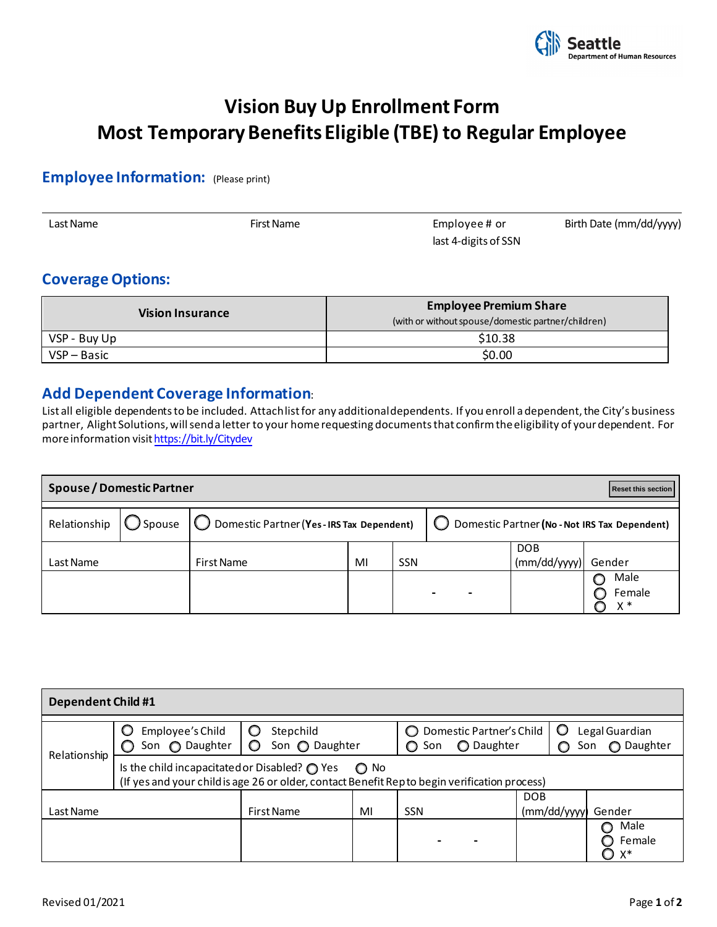

# **Vision Buy Up Enrollment Form Most Temporary Benefits Eligible (TBE) to Regular Employee**

### **Employee Information:** (Please print)

| Last Name | First Name | Employee# or         | Birth Date (mm/dd/yyyy) |
|-----------|------------|----------------------|-------------------------|
|           |            | last 4-digits of SSN |                         |

## **Coverage Options:**

| <b>Vision Insurance</b> | <b>Employee Premium Share</b><br>(with or without spouse/domestic partner/children) |  |  |  |  |
|-------------------------|-------------------------------------------------------------------------------------|--|--|--|--|
| VSP - Buy Up            | \$10.38                                                                             |  |  |  |  |
| VSP - Basic             | \$0.00                                                                              |  |  |  |  |

#### **Add Dependent Coverage Information**:

List all eligible dependents to be included. Attach list for any additional dependents. If you enroll a dependent, the City's business partner, Alight Solutions, will send a letter to your home requesting documents that confirm the eligibility of your dependent. For more information visit https://bit.ly/Citydev

| <b>Spouse / Domestic Partner</b><br>Reset this section |  |                                                                                    |    |            |                                               |                     |                         |  |
|--------------------------------------------------------|--|------------------------------------------------------------------------------------|----|------------|-----------------------------------------------|---------------------|-------------------------|--|
|                                                        |  | Relationship $\bigcirc$ Spouse $\bigcirc$ Domestic Partner (Yes-IRS Tax Dependent) |    |            | Domestic Partner (No - Not IRS Tax Dependent) |                     |                         |  |
| Last Name                                              |  | <b>First Name</b>                                                                  | MI | <b>SSN</b> |                                               | DOB<br>(mm/dd/yyyy) | Gender                  |  |
|                                                        |  |                                                                                    |    |            |                                               |                     | Male<br>Female<br>$x *$ |  |

| <b>Dependent Child #1</b> |                                                                                                                                                                         |                                        |    |                |                                        |                           |                                     |  |  |
|---------------------------|-------------------------------------------------------------------------------------------------------------------------------------------------------------------------|----------------------------------------|----|----------------|----------------------------------------|---------------------------|-------------------------------------|--|--|
| Relationship              | Employee's Child<br>Son $\bigcirc$ Daughter                                                                                                                             | Stepchild<br>$\circ$<br>Son @ Daughter |    | 0<br>Son<br>O. | Domestic Partner's Child<br>O Daughter | O                         | Legal Guardian<br>◯ Daughter<br>Son |  |  |
|                           | Is the child incapacitated or Disabled? $\bigcirc$ Yes<br>$\bigcirc$ No<br>(If yes and your child is age 26 or older, contact Benefit Repto begin verification process) |                                        |    |                |                                        |                           |                                     |  |  |
| Last Name                 |                                                                                                                                                                         | First Name                             | MI | <b>SSN</b>     |                                        | <b>DOB</b><br>(mm/dd/yyy) | Gender                              |  |  |
|                           |                                                                                                                                                                         |                                        |    |                |                                        |                           | Male<br>Female<br>X*                |  |  |